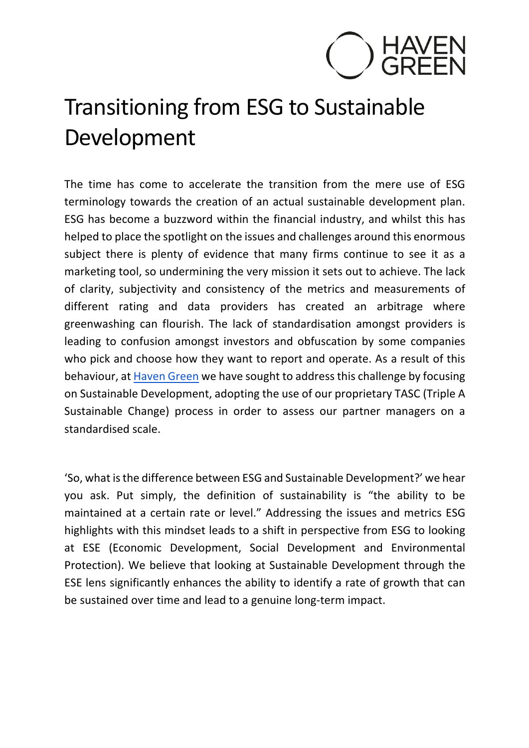

## Transitioning from ESG to Sustainable Development

The time has come to accelerate the transition from the mere use of ESG terminology towards the creation of an actual sustainable development plan. ESG has become a buzzword within the financial industry, and whilst this has helped to place the spotlight on the issues and challenges around this enormous subject there is plenty of evidence that many firms continue to see it as a marketing tool, so undermining the very mission it sets out to achieve. The lack of clarity, subjectivity and consistency of the metrics and measurements of different rating and data providers has created an arbitrage where greenwashing can flourish. The lack of standardisation amongst providers is leading to confusion amongst investors and obfuscation by some companies who pick and choose how they want to report and operate. As a result of this behaviour, at Haven Green we have sought to address this challenge by focusing on Sustainable Development, adopting the use of our proprietary TASC (Triple A Sustainable Change) process in order to assess our partner managers on a standardised scale.

'So, what is the difference between ESG and Sustainable Development?' we hear you ask. Put simply, the definition of sustainability is "the ability to be maintained at a certain rate or level." Addressing the issues and metrics ESG highlights with this mindset leads to a shift in perspective from ESG to looking at ESE (Economic Development, Social Development and Environmental Protection). We believe that looking at Sustainable Development through the ESE lens significantly enhances the ability to identify a rate of growth that can be sustained over time and lead to a genuine long-term impact.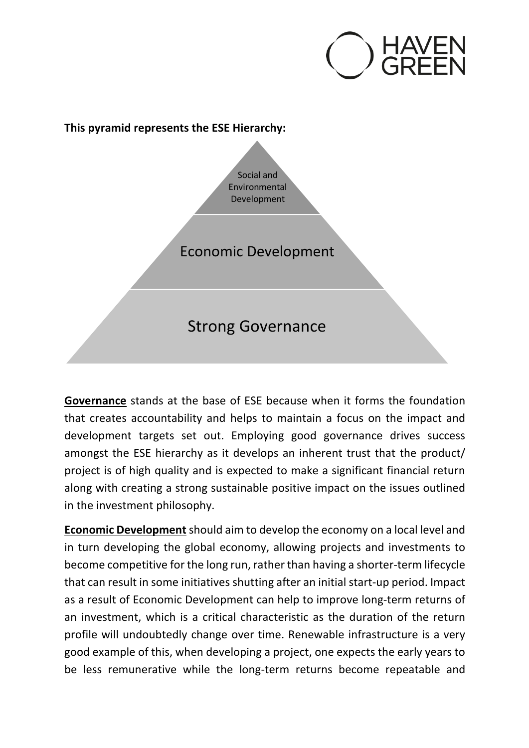

## **This pyramid represents the ESE Hierarchy:**

Social and Environmental Development

Economic Development

Strong Governance

**Governance** stands at the base of ESE because when it forms the foundation that creates accountability and helps to maintain a focus on the impact and development targets set out. Employing good governance drives success amongst the ESE hierarchy as it develops an inherent trust that the product/ project is of high quality and is expected to make a significant financial return along with creating a strong sustainable positive impact on the issues outlined in the investment philosophy.

**Economic Development**should aim to develop the economy on a local level and in turn developing the global economy, allowing projects and investments to become competitive for the long run, rather than having a shorter-term lifecycle that can result in some initiatives shutting after an initial start-up period. Impact as a result of Economic Development can help to improve long-term returns of an investment, which is a critical characteristic as the duration of the return profile will undoubtedly change over time. Renewable infrastructure is a very good example of this, when developing a project, one expects the early years to be less remunerative while the long-term returns become repeatable and